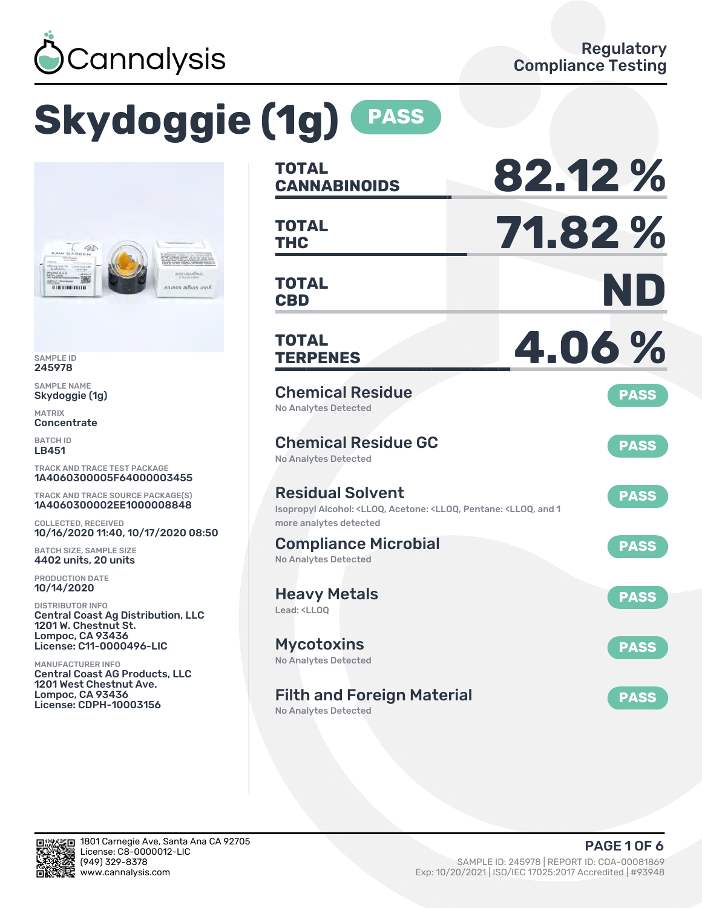

# **Skydoggie (1g) PASS**



SAMPLE ID 245978

SAMPLE NAME Skydoggie (1g)

MATRIX **Concentrate** 

BATCH ID LB451

TRACK AND TRACE TEST PACKAGE 1A4060300005F64000003455

TRACK AND TRACE SOURCE PACKAGE(S) 1A4060300002EE1000008848

COLLECTED, RECEIVED 10/16/2020 11:40, 10/17/2020 08:50

BATCH SIZE, SAMPLE SIZE 4402 units, 20 units

PRODUCTION DATE 10/14/2020

DISTRIBUTOR INFO Central Coast Ag Distribution, LLC 1201 W. Chestnut St. Lompoc, CA 93436 License: C11-0000496-LIC

MANUFACTURER INFO Central Coast AG Products, LLC 1201 West Chestnut Ave. Lompoc, CA 93436 License: CDPH-10003156

| <b>TOTAL</b><br><b>CANNABINOIDS</b>                                                                                                  | 82.12%      |
|--------------------------------------------------------------------------------------------------------------------------------------|-------------|
| <b>TOTAL</b><br><b>THC</b>                                                                                                           | 71.82%      |
| <b>TOTAL</b><br><b>CBD</b>                                                                                                           | ND          |
| <b>TOTAL</b><br><b>TERPENES</b>                                                                                                      | 4.06%       |
| <b>Chemical Residue</b><br><b>No Analytes Detected</b>                                                                               | <b>PASS</b> |
| <b>Chemical Residue GC</b><br><b>No Analytes Detected</b>                                                                            | <b>PASS</b> |
| <b>Residual Solvent</b><br>Isopropyl Alcohol: <lloq, 1<br="" <lloq,="" acetone:="" and="" pentane:="">more analytes detected</lloq,> | <b>PASS</b> |
| <b>Compliance Microbial</b><br><b>No Analytes Detected</b>                                                                           | <b>PASS</b> |
| <b>Heavy Metals</b><br>Lead: <ll00< td=""><td><b>PASS</b></td></ll00<>                                                               | <b>PASS</b> |
| <b>Mycotoxins</b><br>No Analytes Detected                                                                                            | <b>PASS</b> |
| <b>Filth and Foreign Material</b><br>No Analytes Detected                                                                            | <b>PASS</b> |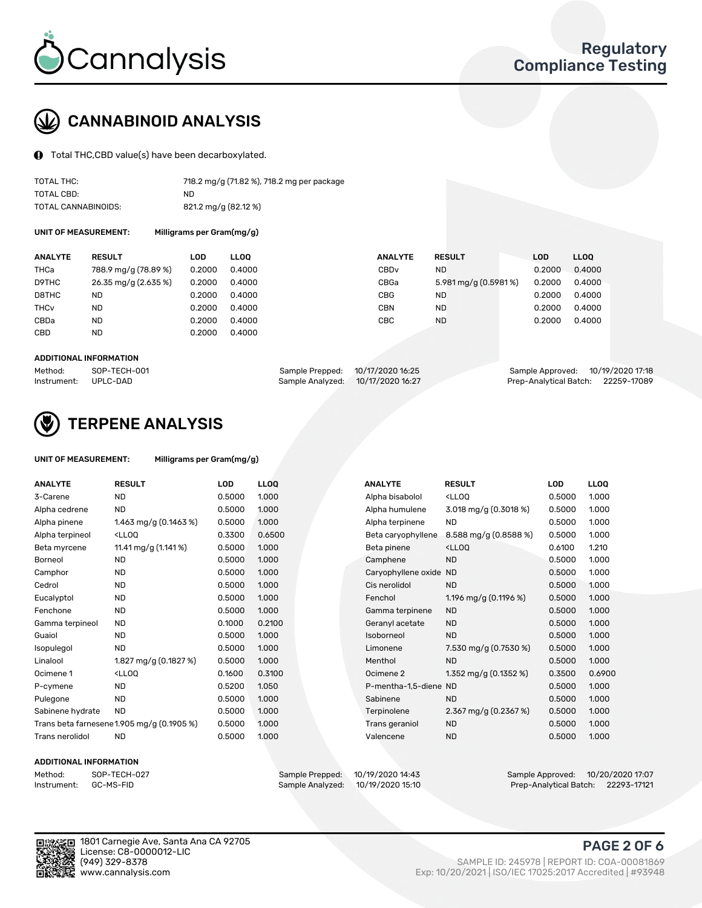

### CANNABINOID ANALYSIS

Total THC,CBD value(s) have been decarboxylated.

| TOTAL THC:          | 718.2 mg/g (71.82 %), 718.2 mg per package |
|---------------------|--------------------------------------------|
| TOTAL CBD:          | ND.                                        |
| TOTAL CANNABINOIDS: | 821.2 mg/g (82.12 %)                       |

UNIT OF MEASUREMENT: Milligrams per Gram(mg/g)

| <b>ANALYTE</b>         | <b>RESULT</b>        | LOD    | <b>LLOO</b> | <b>ANALYTE</b>   | <b>RESULT</b>        | <b>LOD</b> | <b>LLOO</b> |
|------------------------|----------------------|--------|-------------|------------------|----------------------|------------|-------------|
| THCa                   | 788.9 mg/g (78.89 %) | 0.2000 | 0.4000      | CBD <sub>v</sub> | ND.                  | 0.2000     | 0.4000      |
| D9THC                  | 26.35 mg/g (2.635 %) | 0.2000 | 0.4000      | CBGa             | 5.981 mg/g (0.5981%) | 0.2000     | 0.4000      |
| D8THC                  | <b>ND</b>            | 0.2000 | 0.4000      | CBG              | <b>ND</b>            | 0.2000     | 0.4000      |
| <b>THC<sub>v</sub></b> | <b>ND</b>            | 0.2000 | 0.4000      | CBN              | <b>ND</b>            | 0.2000     | 0.4000      |
| CBDa                   | <b>ND</b>            | 0.2000 | 0.4000      | CBC              | <b>ND</b>            | 0.2000     | 0.4000      |
| <b>CBD</b>             | <b>ND</b>            | 0.2000 | 0.4000      |                  |                      |            |             |
|                        |                      |        |             |                  |                      |            |             |

#### ADDITIONAL INFORMATION

| Method:              | SOP-TECH-001 | Sample Prepped: 10/17/2020 16:25  | Sample Approved: 10/19/2020 17:18  |  |
|----------------------|--------------|-----------------------------------|------------------------------------|--|
| Instrument: UPLC-DAD |              | Sample Analyzed: 10/17/2020 16:27 | Prep-Analytical Batch: 22259-17089 |  |



### TERPENE ANALYSIS

| UNIT OF MEASUREMENT: | Milligrams per Gram(mg/g) |
|----------------------|---------------------------|
|                      |                           |

| <b>ANALYTE</b>   | <b>RESULT</b>                                                                                                                             | <b>LOD</b> | <b>LLOQ</b> | <b>ANALYTE</b>         | <b>RESULT</b>                                      | <b>LOD</b> | <b>LLOQ</b> |
|------------------|-------------------------------------------------------------------------------------------------------------------------------------------|------------|-------------|------------------------|----------------------------------------------------|------------|-------------|
| 3-Carene         | <b>ND</b>                                                                                                                                 | 0.5000     | 1.000       | Alpha bisabolol        | <lloq< td=""><td>0.5000</td><td>1.000</td></lloq<> | 0.5000     | 1.000       |
| Alpha cedrene    | <b>ND</b>                                                                                                                                 | 0.5000     | 1.000       | Alpha humulene         | 3.018 mg/g $(0.3018\%)$                            | 0.5000     | 1.000       |
| Alpha pinene     | 1.463 mg/g (0.1463 %)                                                                                                                     | 0.5000     | 1.000       | Alpha terpinene        | <b>ND</b>                                          | 0.5000     | 1.000       |
| Alpha terpineol  | <lloq< td=""><td>0.3300</td><td>0.6500</td><td>Beta caryophyllene</td><td>8.588 mg/g (0.8588 %)</td><td>0.5000</td><td>1.000</td></lloq<> | 0.3300     | 0.6500      | Beta caryophyllene     | 8.588 mg/g (0.8588 %)                              | 0.5000     | 1.000       |
| Beta myrcene     | 11.41 mg/g (1.141 %)                                                                                                                      | 0.5000     | 1.000       | Beta pinene            | <lloq< td=""><td>0.6100</td><td>1.210</td></lloq<> | 0.6100     | 1.210       |
| Borneol          | <b>ND</b>                                                                                                                                 | 0.5000     | 1.000       | Camphene               | <b>ND</b>                                          | 0.5000     | 1.000       |
| Camphor          | <b>ND</b>                                                                                                                                 | 0.5000     | 1.000       | Caryophyllene oxide ND |                                                    | 0.5000     | 1.000       |
| Cedrol           | <b>ND</b>                                                                                                                                 | 0.5000     | 1.000       | Cis nerolidol          | <b>ND</b>                                          | 0.5000     | 1.000       |
| Eucalyptol       | <b>ND</b>                                                                                                                                 | 0.5000     | 1.000       | Fenchol                | 1.196 mg/g $(0.1196 \%)$                           | 0.5000     | 1.000       |
| Fenchone         | <b>ND</b>                                                                                                                                 | 0.5000     | 1.000       | Gamma terpinene        | <b>ND</b>                                          | 0.5000     | 1.000       |
| Gamma terpineol  | <b>ND</b>                                                                                                                                 | 0.1000     | 0.2100      | Geranyl acetate        | <b>ND</b>                                          | 0.5000     | 1.000       |
| Guaiol           | <b>ND</b>                                                                                                                                 | 0.5000     | 1.000       | Isoborneol             | <b>ND</b>                                          | 0.5000     | 1.000       |
| Isopulegol       | <b>ND</b>                                                                                                                                 | 0.5000     | 1.000       | Limonene               | 7.530 mg/g (0.7530 %)                              | 0.5000     | 1.000       |
| Linalool         | 1.827 mg/g (0.1827 %)                                                                                                                     | 0.5000     | 1.000       | Menthol                | <b>ND</b>                                          | 0.5000     | 1.000       |
| Ocimene 1        | <lloq< td=""><td>0.1600</td><td>0.3100</td><td>Ocimene 2</td><td>1.352 mg/g (0.1352 %)</td><td>0.3500</td><td>0.6900</td></lloq<>         | 0.1600     | 0.3100      | Ocimene 2              | 1.352 mg/g (0.1352 %)                              | 0.3500     | 0.6900      |
| P-cymene         | ND                                                                                                                                        | 0.5200     | 1.050       | P-mentha-1,5-diene ND  |                                                    | 0.5000     | 1.000       |
| Pulegone         | <b>ND</b>                                                                                                                                 | 0.5000     | 1.000       | Sabinene               | <b>ND</b>                                          | 0.5000     | 1.000       |
| Sabinene hydrate | <b>ND</b>                                                                                                                                 | 0.5000     | 1.000       | Terpinolene            | 2.367 mg/g $(0.2367%)$                             | 0.5000     | 1.000       |
|                  | Trans beta farnesene1.905 mg/g (0.1905 %)                                                                                                 | 0.5000     | 1.000       | Trans geraniol         | <b>ND</b>                                          | 0.5000     | 1.000       |
| Trans nerolidol  | <b>ND</b>                                                                                                                                 | 0.5000     | 1.000       | Valencene              | <b>ND</b>                                          | 0.5000     | 1.000       |

#### ADDITIONAL INFORMATION

| Method:     | SOP-TECH  |
|-------------|-----------|
| Instrument: | GC-MS-FII |

Method: SOP-TECH-027 Sample Prepped: 10/19/2020 14:43 Sample Approved: 10/20/2020 17:07 Prep-Analytical Batch: 22293-17121



1801 Carnegie Ave, Santa Ana CA 92705 License: C8-0000012-LIC<br>(949) 329-8378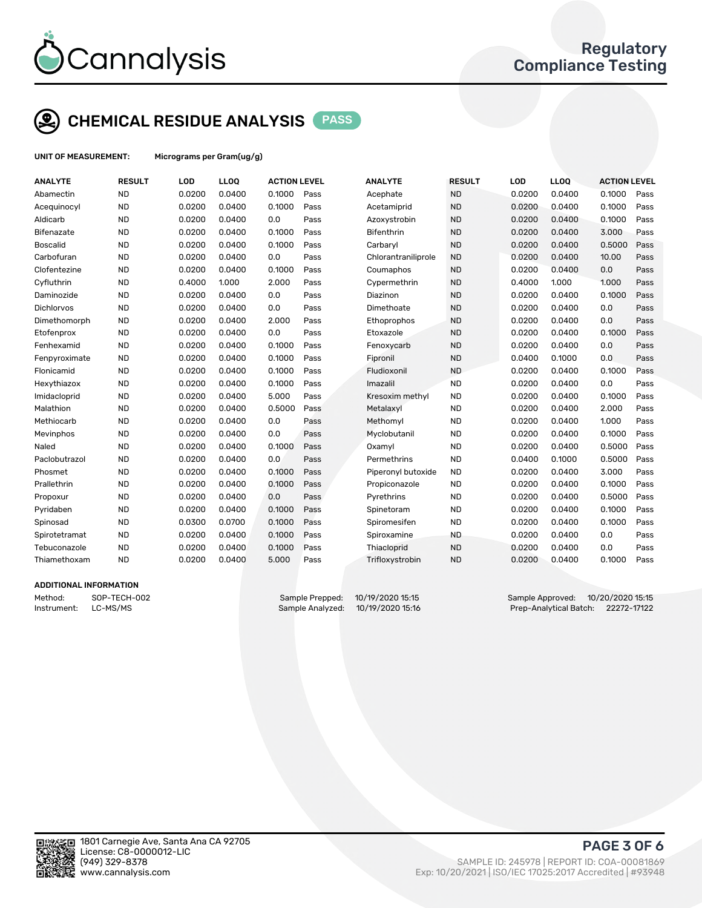

### CHEMICAL RESIDUE ANALYSIS PASS

UNIT OF MEASUREMENT: Micrograms per Gram(ug/g)

| <b>ANALYTE</b>    | <b>RESULT</b> | LOD    | LL <sub>OO</sub> | <b>ACTION LEVEL</b> |      | <b>ANALYTE</b>      | <b>RESULT</b> | LOD    | <b>LLOQ</b> | <b>ACTION LEVEL</b> |      |
|-------------------|---------------|--------|------------------|---------------------|------|---------------------|---------------|--------|-------------|---------------------|------|
| Abamectin         | <b>ND</b>     | 0.0200 | 0.0400           | 0.1000              | Pass | Acephate            | <b>ND</b>     | 0.0200 | 0.0400      | 0.1000              | Pass |
| Acequinocyl       | <b>ND</b>     | 0.0200 | 0.0400           | 0.1000              | Pass | Acetamiprid         | <b>ND</b>     | 0.0200 | 0.0400      | 0.1000              | Pass |
| Aldicarb          | <b>ND</b>     | 0.0200 | 0.0400           | 0.0                 | Pass | Azoxystrobin        | <b>ND</b>     | 0.0200 | 0.0400      | 0.1000              | Pass |
| Bifenazate        | <b>ND</b>     | 0.0200 | 0.0400           | 0.1000              | Pass | <b>Bifenthrin</b>   | <b>ND</b>     | 0.0200 | 0.0400      | 3.000               | Pass |
| <b>Boscalid</b>   | <b>ND</b>     | 0.0200 | 0.0400           | 0.1000              | Pass | Carbaryl            | <b>ND</b>     | 0.0200 | 0.0400      | 0.5000              | Pass |
| Carbofuran        | <b>ND</b>     | 0.0200 | 0.0400           | 0.0                 | Pass | Chlorantraniliprole | <b>ND</b>     | 0.0200 | 0.0400      | 10.00               | Pass |
| Clofentezine      | <b>ND</b>     | 0.0200 | 0.0400           | 0.1000              | Pass | Coumaphos           | <b>ND</b>     | 0.0200 | 0.0400      | 0.0                 | Pass |
| Cyfluthrin        | <b>ND</b>     | 0.4000 | 1.000            | 2.000               | Pass | Cypermethrin        | <b>ND</b>     | 0.4000 | 1.000       | 1.000               | Pass |
| Daminozide        | <b>ND</b>     | 0.0200 | 0.0400           | 0.0                 | Pass | Diazinon            | <b>ND</b>     | 0.0200 | 0.0400      | 0.1000              | Pass |
| <b>Dichlorvos</b> | <b>ND</b>     | 0.0200 | 0.0400           | 0.0                 | Pass | Dimethoate          | <b>ND</b>     | 0.0200 | 0.0400      | 0.0                 | Pass |
| Dimethomorph      | <b>ND</b>     | 0.0200 | 0.0400           | 2.000               | Pass | Ethoprophos         | <b>ND</b>     | 0.0200 | 0.0400      | 0.0                 | Pass |
| Etofenprox        | <b>ND</b>     | 0.0200 | 0.0400           | 0.0                 | Pass | Etoxazole           | <b>ND</b>     | 0.0200 | 0.0400      | 0.1000              | Pass |
| Fenhexamid        | <b>ND</b>     | 0.0200 | 0.0400           | 0.1000              | Pass | Fenoxycarb          | <b>ND</b>     | 0.0200 | 0.0400      | 0.0                 | Pass |
| Fenpyroximate     | <b>ND</b>     | 0.0200 | 0.0400           | 0.1000              | Pass | Fipronil            | <b>ND</b>     | 0.0400 | 0.1000      | 0.0                 | Pass |
| Flonicamid        | <b>ND</b>     | 0.0200 | 0.0400           | 0.1000              | Pass | Fludioxonil         | <b>ND</b>     | 0.0200 | 0.0400      | 0.1000              | Pass |
| Hexythiazox       | <b>ND</b>     | 0.0200 | 0.0400           | 0.1000              | Pass | Imazalil            | <b>ND</b>     | 0.0200 | 0.0400      | 0.0                 | Pass |
| Imidacloprid      | <b>ND</b>     | 0.0200 | 0.0400           | 5.000               | Pass | Kresoxim methyl     | <b>ND</b>     | 0.0200 | 0.0400      | 0.1000              | Pass |
| Malathion         | <b>ND</b>     | 0.0200 | 0.0400           | 0.5000              | Pass | Metalaxyl           | <b>ND</b>     | 0.0200 | 0.0400      | 2.000               | Pass |
| Methiocarb        | <b>ND</b>     | 0.0200 | 0.0400           | 0.0                 | Pass | Methomyl            | <b>ND</b>     | 0.0200 | 0.0400      | 1.000               | Pass |
| Mevinphos         | <b>ND</b>     | 0.0200 | 0.0400           | 0.0                 | Pass | Myclobutanil        | <b>ND</b>     | 0.0200 | 0.0400      | 0.1000              | Pass |
| Naled             | <b>ND</b>     | 0.0200 | 0.0400           | 0.1000              | Pass | Oxamyl              | <b>ND</b>     | 0.0200 | 0.0400      | 0.5000              | Pass |
| Paclobutrazol     | <b>ND</b>     | 0.0200 | 0.0400           | 0.0                 | Pass | Permethrins         | <b>ND</b>     | 0.0400 | 0.1000      | 0.5000              | Pass |
| Phosmet           | <b>ND</b>     | 0.0200 | 0.0400           | 0.1000              | Pass | Piperonyl butoxide  | <b>ND</b>     | 0.0200 | 0.0400      | 3.000               | Pass |
| Prallethrin       | <b>ND</b>     | 0.0200 | 0.0400           | 0.1000              | Pass | Propiconazole       | <b>ND</b>     | 0.0200 | 0.0400      | 0.1000              | Pass |
| Propoxur          | <b>ND</b>     | 0.0200 | 0.0400           | 0.0                 | Pass | Pyrethrins          | <b>ND</b>     | 0.0200 | 0.0400      | 0.5000              | Pass |
| Pyridaben         | <b>ND</b>     | 0.0200 | 0.0400           | 0.1000              | Pass | Spinetoram          | <b>ND</b>     | 0.0200 | 0.0400      | 0.1000              | Pass |
| Spinosad          | <b>ND</b>     | 0.0300 | 0.0700           | 0.1000              | Pass | Spiromesifen        | <b>ND</b>     | 0.0200 | 0.0400      | 0.1000              | Pass |
| Spirotetramat     | <b>ND</b>     | 0.0200 | 0.0400           | 0.1000              | Pass | Spiroxamine         | <b>ND</b>     | 0.0200 | 0.0400      | 0.0                 | Pass |
| Tebuconazole      | <b>ND</b>     | 0.0200 | 0.0400           | 0.1000              | Pass | Thiacloprid         | <b>ND</b>     | 0.0200 | 0.0400      | 0.0                 | Pass |
| Thiamethoxam      | <b>ND</b>     | 0.0200 | 0.0400           | 5.000               | Pass | Trifloxystrobin     | <b>ND</b>     | 0.0200 | 0.0400      | 0.1000              | Pass |
|                   |               |        |                  |                     |      |                     |               |        |             |                     |      |

#### ADDITIONAL INFORMATION

Method: SOP-TECH-002 Sample Prepped: 10/19/2020 15:15 Sample Approved: 10/20/2020 15:15 Instrument: LC-MS/MS Sample Analyzed: 10/19/2020 15:16 Prep-Analytical Batch: 22272-17122



PAGE 3 OF 6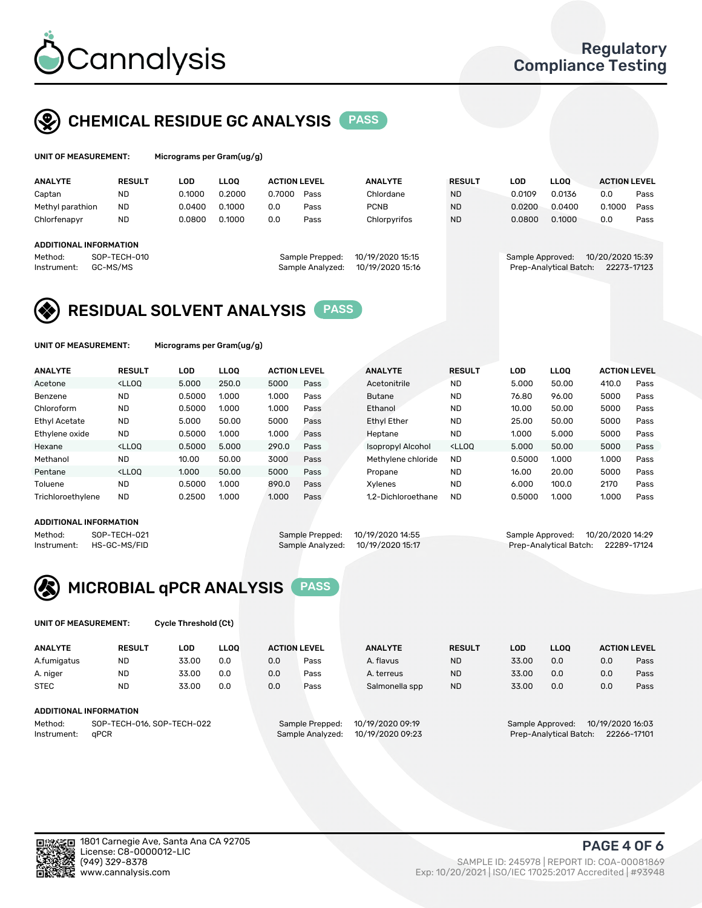

### CHEMICAL RESIDUE GC ANALYSIS PASS

| UNIT OF MEASUREMENT: | Mic |
|----------------------|-----|
|                      |     |

rograms per Gram(ug/g)

| <b>ANALYTE</b>         | <b>RESULT</b> | LOD    | <b>LLOO</b> | <b>ACTION LEVEL</b> |                  | <b>ANALYTE</b>   | <b>RESULT</b> | <b>LOD</b>       | <b>LLOO</b>            | <b>ACTION LEVEL</b> |      |
|------------------------|---------------|--------|-------------|---------------------|------------------|------------------|---------------|------------------|------------------------|---------------------|------|
| Captan                 | <b>ND</b>     | 0.1000 | 0.2000      | 0.7000              | Pass             | Chlordane        | <b>ND</b>     | 0.0109           | 0.0136                 | 0.0                 | Pass |
| Methyl parathion       | <b>ND</b>     | 0.0400 | 0.1000      | 0.0                 | Pass             | <b>PCNB</b>      | <b>ND</b>     | 0.0200           | 0.0400                 | 0.1000              | Pass |
| Chlorfenapyr           | <b>ND</b>     | 0.0800 | 0.1000      | 0.0                 | Pass             | Chlorpyrifos     | <b>ND</b>     | 0.0800           | 0.1000                 | 0.0                 | Pass |
| ADDITIONAL INFORMATION |               |        |             |                     |                  |                  |               |                  |                        |                     |      |
|                        |               |        |             |                     |                  |                  |               |                  |                        |                     |      |
| Method:                | SOP-TECH-010  |        |             |                     | Sample Prepped:  | 10/19/2020 15:15 |               | Sample Approved: |                        | 10/20/2020 15:39    |      |
| Instrument:            | GC-MS/MS      |        |             |                     | Sample Analyzed: | 10/19/2020 15:16 |               |                  | Prep-Analytical Batch: | 22273-17123         |      |

### RESIDUAL SOLVENT ANALYSIS PASS

UNIT OF MEASUREMENT: Micrograms per Gram(ug/g)

| <b>ANALYTE</b>       | <b>RESULT</b>                                                                                                                                                                               | LOD    | <b>LLOO</b> | <b>ACTION LEVEL</b> |      | <b>ANALYTE</b>     | <b>RESULT</b>                                                               | LOD    | LLOO  | <b>ACTION LEVEL</b> |      |
|----------------------|---------------------------------------------------------------------------------------------------------------------------------------------------------------------------------------------|--------|-------------|---------------------|------|--------------------|-----------------------------------------------------------------------------|--------|-------|---------------------|------|
| Acetone              | <lloo< td=""><td>5.000</td><td>250.0</td><td>5000</td><td>Pass</td><td>Acetonitrile</td><td><b>ND</b></td><td>5.000</td><td>50.00</td><td>410.0</td><td>Pass</td></lloo<>                   | 5.000  | 250.0       | 5000                | Pass | Acetonitrile       | <b>ND</b>                                                                   | 5.000  | 50.00 | 410.0               | Pass |
| Benzene              | <b>ND</b>                                                                                                                                                                                   | 0.5000 | 1.000       | 1.000               | Pass | <b>Butane</b>      | <b>ND</b>                                                                   | 76.80  | 96.00 | 5000                | Pass |
| Chloroform           | <b>ND</b>                                                                                                                                                                                   | 0.5000 | 1.000       | 1.000               | Pass | Ethanol            | <b>ND</b>                                                                   | 10.00  | 50.00 | 5000                | Pass |
| <b>Ethyl Acetate</b> | <b>ND</b>                                                                                                                                                                                   | 5.000  | 50.00       | 5000                | Pass | <b>Ethyl Ether</b> | <b>ND</b>                                                                   | 25.00  | 50.00 | 5000                | Pass |
| Ethylene oxide       | <b>ND</b>                                                                                                                                                                                   | 0.5000 | 1.000       | 1.000               | Pass | Heptane            | <b>ND</b>                                                                   | 1.000  | 5.000 | 5000                | Pass |
| Hexane               | <lloo< td=""><td>0.5000</td><td>5.000</td><td>290.0</td><td>Pass</td><td>Isopropyl Alcohol</td><td><lloo< td=""><td>5.000</td><td>50.00</td><td>5000</td><td>Pass</td></lloo<></td></lloo<> | 0.5000 | 5.000       | 290.0               | Pass | Isopropyl Alcohol  | <lloo< td=""><td>5.000</td><td>50.00</td><td>5000</td><td>Pass</td></lloo<> | 5.000  | 50.00 | 5000                | Pass |
| Methanol             | <b>ND</b>                                                                                                                                                                                   | 10.00  | 50.00       | 3000                | Pass | Methylene chloride | <b>ND</b>                                                                   | 0.5000 | 1.000 | 1.000               | Pass |
| Pentane              | <lloo< td=""><td>1.000</td><td>50.00</td><td>5000</td><td>Pass</td><td>Propane</td><td><b>ND</b></td><td>16.00</td><td>20.00</td><td>5000</td><td>Pass</td></lloo<>                         | 1.000  | 50.00       | 5000                | Pass | Propane            | <b>ND</b>                                                                   | 16.00  | 20.00 | 5000                | Pass |
| Toluene              | <b>ND</b>                                                                                                                                                                                   | 0.5000 | 1.000       | 890.0               | Pass | Xvlenes            | <b>ND</b>                                                                   | 6.000  | 100.0 | 2170                | Pass |
| Trichloroethylene    | <b>ND</b>                                                                                                                                                                                   | 0.2500 | 1.000       | 1.000               | Pass | 1.2-Dichloroethane | <b>ND</b>                                                                   | 0.5000 | 1.000 | 1.000               | Pass |

#### ADDITIONAL INFORMATION

|             | ADDITIONAL INFORMATION |                                   |                                   |                                    |
|-------------|------------------------|-----------------------------------|-----------------------------------|------------------------------------|
| Method:     | SOP-TECH-021           | Sample Prepped: 10/19/2020 14:55  | Sample Approved: 10/20/2020 14:29 |                                    |
| Instrument: | HS-GC-MS/FID           | Sample Analyzed: 10/19/2020 15:17 |                                   | Prep-Analytical Batch: 22289-17124 |

ep-Analytical Batch: 22289-17124



UNIT OF MEASUREMENT: Cycle Threshold (Ct)

| <b>ANALYTE</b>         | <b>RESULT</b>              | LOD   | <b>LLOO</b> | <b>ACTION LEVEL</b> |                 | <b>ANALYTE</b>   | <b>RESULT</b> | LOD   | <b>LLOO</b>      |                  | <b>ACTION LEVEL</b> |
|------------------------|----------------------------|-------|-------------|---------------------|-----------------|------------------|---------------|-------|------------------|------------------|---------------------|
| A.fumigatus            | <b>ND</b>                  | 33.00 | 0.0         | 0.0                 | Pass            | A. flavus        | <b>ND</b>     | 33.00 | 0.0              | 0.0              | Pass                |
| A. niger               | <b>ND</b>                  | 33.00 | 0.0         | 0.0                 | Pass            | A. terreus       | <b>ND</b>     | 33.00 | 0.0              | 0.0              | Pass                |
| <b>STEC</b>            | <b>ND</b>                  | 33.00 | 0.0         | 0.0                 | Pass            | Salmonella spp   | <b>ND</b>     | 33.00 | 0.0              | 0.0              | Pass                |
| ADDITIONAL INFORMATION |                            |       |             |                     |                 |                  |               |       |                  |                  |                     |
| Method:                | SOP-TECH-016, SOP-TECH-022 |       |             |                     | Sample Prepped: | 10/19/2020 09:19 |               |       | Sample Approved: | 10/19/2020 16:03 |                     |

Instrument: qPCR Sample Analyzed: 10/19/2020 09:23 Prep-Analytical Batch: 22266-17101

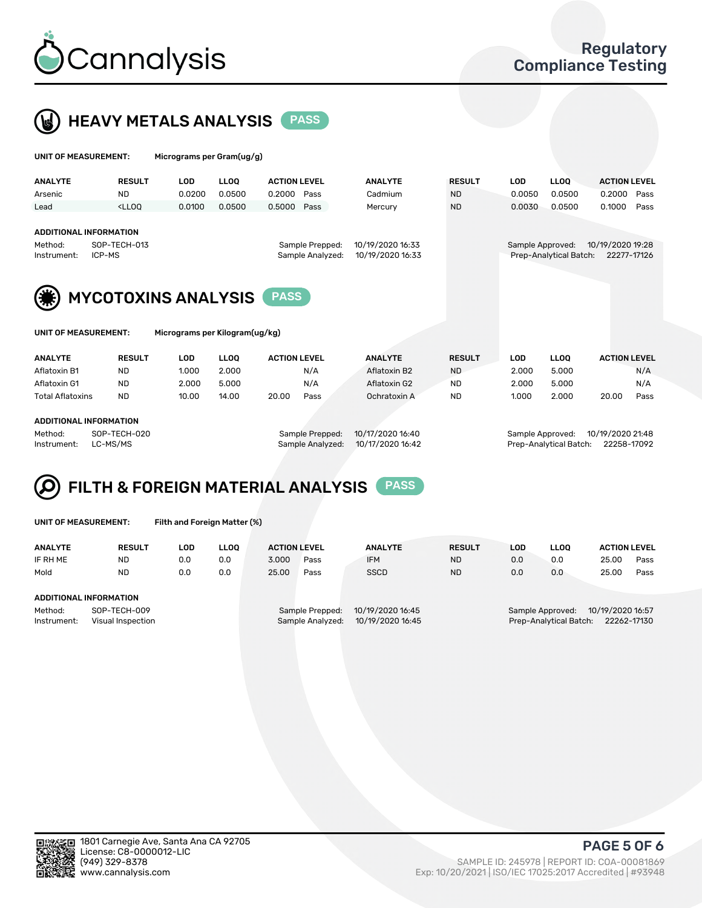



UNIT OF MEASUREMENT: Micrograms per Gram(ug/g)

| <b>ANALYTE</b>                            | <b>RESULT</b>                                                                                                                                                           | <b>LOD</b> | <b>LLOO</b>                    | <b>ACTION LEVEL</b> |                                     | <b>ANALYTE</b>                       | <b>RESULT</b> | <b>LOD</b> | <b>LLOQ</b>                                | <b>ACTION LEVEL</b>             |
|-------------------------------------------|-------------------------------------------------------------------------------------------------------------------------------------------------------------------------|------------|--------------------------------|---------------------|-------------------------------------|--------------------------------------|---------------|------------|--------------------------------------------|---------------------------------|
| Arsenic                                   | <b>ND</b>                                                                                                                                                               | 0.0200     | 0.0500                         | 0.2000              | Pass                                | Cadmium                              | <b>ND</b>     | 0.0050     | 0.0500                                     | 0.2000<br>Pass                  |
| Lead                                      | <lloo< td=""><td>0.0100</td><td>0.0500</td><td>0.5000</td><td>Pass</td><td>Mercury</td><td><b>ND</b></td><td>0.0030</td><td>0.0500</td><td>0.1000<br/>Pass</td></lloo<> | 0.0100     | 0.0500                         | 0.5000              | Pass                                | Mercury                              | <b>ND</b>     | 0.0030     | 0.0500                                     | 0.1000<br>Pass                  |
| Method:<br>Instrument:                    | <b>ADDITIONAL INFORMATION</b><br>SOP-TECH-013<br>ICP-MS                                                                                                                 |            |                                |                     | Sample Prepped:<br>Sample Analyzed: | 10/19/2020 16:33<br>10/19/2020 16:33 |               |            | Sample Approved:<br>Prep-Analytical Batch: | 10/19/2020 19:28<br>22277-17126 |
| <b>MYCOTOXINS ANALYSIS</b><br><b>PASS</b> |                                                                                                                                                                         |            |                                |                     |                                     |                                      |               |            |                                            |                                 |
| UNIT OF MEASUREMENT:                      |                                                                                                                                                                         |            | Micrograms per Kilogram(ug/kg) |                     |                                     |                                      |               |            |                                            |                                 |
| <b>AAIAIA/WF</b>                          | <b>BEAU</b> -                                                                                                                                                           | $\sim$     |                                | 1.0710111171171     |                                     | <b>AAIAIN/TF</b>                     | -----         | $\sim$     | $\cdots$                                   | 1.0710111171171                 |

| <b>ANALYTE</b>   | <b>RESULT</b>          | LOD   | LLOQ  | <b>ACTION LEVEL</b> | <b>ANALYTE</b>   | <b>RESULT</b> | LOD.  | LLOQ             | <b>ACTION LEVEL</b> |      |
|------------------|------------------------|-------|-------|---------------------|------------------|---------------|-------|------------------|---------------------|------|
| Aflatoxin B1     | ND                     | 1.000 | 2.000 | N/A                 | Aflatoxin B2     | <b>ND</b>     | 2.000 | 5.000            |                     | N/A  |
| Aflatoxin G1     | <b>ND</b>              | 2.000 | 5.000 | N/A                 | Aflatoxin G2     | <b>ND</b>     | 2.000 | 5.000            |                     | N/A  |
| Total Aflatoxins | <b>ND</b>              | 10.00 | 14.00 | 20.00<br>Pass       | Ochratoxin A     | <b>ND</b>     | 1.000 | 2.000            | 20.00               | Pass |
|                  |                        |       |       |                     |                  |               |       |                  |                     |      |
|                  | ADDITIONAL INFORMATION |       |       |                     |                  |               |       |                  |                     |      |
| Method:          | SOP-TECH-020           |       |       | Sample Prepped:     | 10/17/2020 16:40 |               |       | Sample Approved: | 10/19/2020 21:48    |      |
|                  |                        |       |       |                     |                  |               |       |                  |                     |      |

Instrument: LC-MS/MS Sample Analyzed: 10/17/2020 16:42 Prep-Analytical Batch: 22258-17092

## FILTH & FOREIGN MATERIAL ANALYSIS PASS

| UNIT OF MEASUREMENT: |               | Filth and Foreign Matter (%) |             |                     |      |                |               |     |      |                     |
|----------------------|---------------|------------------------------|-------------|---------------------|------|----------------|---------------|-----|------|---------------------|
| <b>ANALYTE</b>       | <b>RESULT</b> | LOD.                         | <b>LLOO</b> | <b>ACTION LEVEL</b> |      | <b>ANALYTE</b> | <b>RESULT</b> | LOD | LLOO | <b>ACTION LEVEL</b> |
| IF RH ME             | <b>ND</b>     | 0.C                          | 0.0         | 3.000               | Pass | <b>IFM</b>     | <b>ND</b>     | 0.0 | 0.0  | 25.00<br>Pass       |

| Mold                          | ND | 0.C | 0.0 | 25.00 | Pass | SSCD | <b>ND</b> | 0.0 | 0.0 | 25.00 | Pass |
|-------------------------------|----|-----|-----|-------|------|------|-----------|-----|-----|-------|------|
| <b>ADDITIONAL INFORMATION</b> |    |     |     |       |      |      |           |     |     |       |      |

| Method:     | SOP-TECH-0           |
|-------------|----------------------|
| Instrument: | <b>Visual Inspec</b> |

Sample Analyzed: 10/19/2020 16:45

Method: SOP-TECH-009 Sample Prepped: 10/19/2020 16:45 Sample Approved: 10/19/2020 16:57